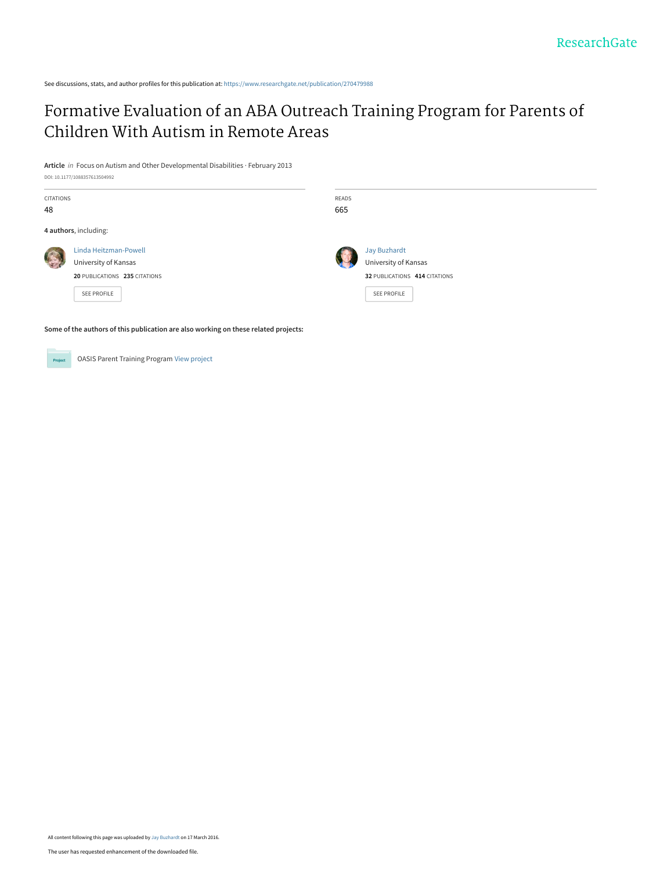See discussions, stats, and author profiles for this publication at: [https://www.researchgate.net/publication/270479988](https://www.researchgate.net/publication/270479988_Formative_Evaluation_of_an_ABA_Outreach_Training_Program_for_Parents_of_Children_With_Autism_in_Remote_Areas?enrichId=rgreq-43f3ae0bdc38a17607049edbafd73491-XXX&enrichSource=Y292ZXJQYWdlOzI3MDQ3OTk4ODtBUzozNDA2MzE2NTk1MzIyOTlAMTQ1ODIyNDMyNDg1Ng%3D%3D&el=1_x_2&_esc=publicationCoverPdf)

# [Formative Evaluation of an ABA Outreach Training Program for Parents of](https://www.researchgate.net/publication/270479988_Formative_Evaluation_of_an_ABA_Outreach_Training_Program_for_Parents_of_Children_With_Autism_in_Remote_Areas?enrichId=rgreq-43f3ae0bdc38a17607049edbafd73491-XXX&enrichSource=Y292ZXJQYWdlOzI3MDQ3OTk4ODtBUzozNDA2MzE2NTk1MzIyOTlAMTQ1ODIyNDMyNDg1Ng%3D%3D&el=1_x_3&_esc=publicationCoverPdf) Children With Autism in Remote Areas

**Article** in Focus on Autism and Other Developmental Disabilities · February 2013 DOI: 10.1177/1088357613504992

| CITATIONS<br>48 |                                                                                                      | READS<br>665 |                                                                                                    |  |
|-----------------|------------------------------------------------------------------------------------------------------|--------------|----------------------------------------------------------------------------------------------------|--|
|                 | 4 authors, including:                                                                                |              |                                                                                                    |  |
|                 | Linda Heitzman-Powell<br>University of Kansas<br>20 PUBLICATIONS 235 CITATIONS<br><b>SEE PROFILE</b> |              | <b>Jay Buzhardt</b><br>University of Kansas<br>32 PUBLICATIONS 414 CITATIONS<br><b>SEE PROFILE</b> |  |

**Some of the authors of this publication are also working on these related projects:**

Project

OASIS Parent Training Program [View project](https://www.researchgate.net/project/OASIS-Parent-Training-Program?enrichId=rgreq-43f3ae0bdc38a17607049edbafd73491-XXX&enrichSource=Y292ZXJQYWdlOzI3MDQ3OTk4ODtBUzozNDA2MzE2NTk1MzIyOTlAMTQ1ODIyNDMyNDg1Ng%3D%3D&el=1_x_9&_esc=publicationCoverPdf)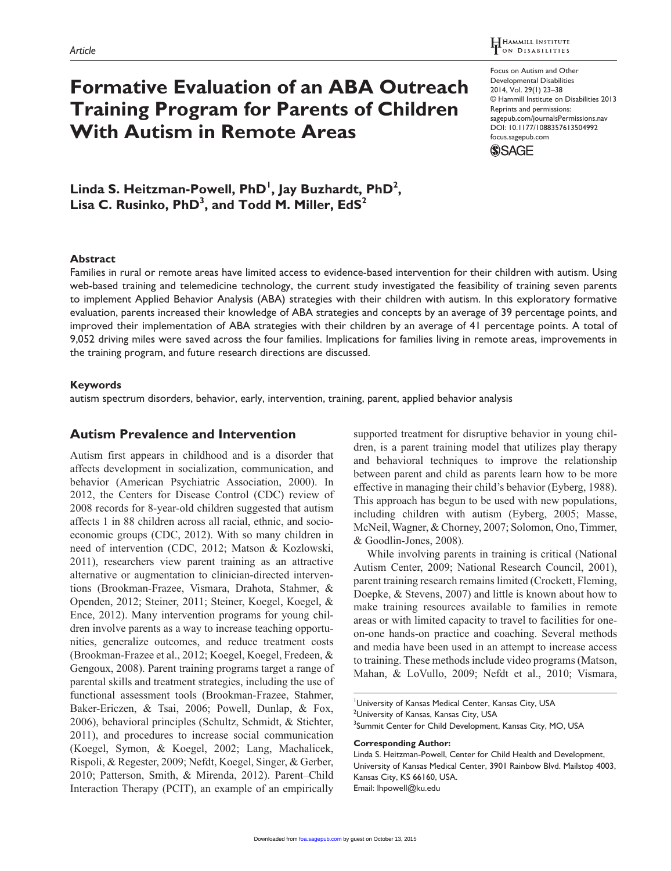# **Formative Evaluation of an ABA Outreach Training Program for Parents of Children With Autism in Remote Areas**

Focus on Autism and Other Developmental Disabilities 2014, Vol. 29(1) 23–38 © Hammill Institute on Disabilities 2013 Reprints and permissions: sagepub.com/journalsPermissions.nav DOI: 10.1177/1088357613504992 focus.sagepub.com **SSAGE** 

Linda S. Heitzman-Powell, PhD<sup>1</sup>, Jay Buzhardt, PhD<sup>2</sup>, Lisa C. Rusinko, PhD<sup>3</sup>, and Todd M. Miller, EdS<sup>2</sup>

#### **Abstract**

Families in rural or remote areas have limited access to evidence-based intervention for their children with autism. Using web-based training and telemedicine technology, the current study investigated the feasibility of training seven parents to implement Applied Behavior Analysis (ABA) strategies with their children with autism. In this exploratory formative evaluation, parents increased their knowledge of ABA strategies and concepts by an average of 39 percentage points, and improved their implementation of ABA strategies with their children by an average of 41 percentage points. A total of 9,052 driving miles were saved across the four families. Implications for families living in remote areas, improvements in the training program, and future research directions are discussed.

#### **Keywords**

autism spectrum disorders, behavior, early, intervention, training, parent, applied behavior analysis

### **Autism Prevalence and Intervention**

Autism first appears in childhood and is a disorder that affects development in socialization, communication, and behavior (American Psychiatric Association, 2000). In 2012, the Centers for Disease Control (CDC) review of 2008 records for 8-year-old children suggested that autism affects 1 in 88 children across all racial, ethnic, and socioeconomic groups (CDC, 2012). With so many children in need of intervention (CDC, 2012; Matson & Kozlowski, 2011), researchers view parent training as an attractive alternative or augmentation to clinician-directed interventions (Brookman-Frazee, Vismara, Drahota, Stahmer, & Openden, 2012; Steiner, 2011; Steiner, Koegel, Koegel, & Ence, 2012). Many intervention programs for young children involve parents as a way to increase teaching opportunities, generalize outcomes, and reduce treatment costs (Brookman-Frazee et al., 2012; Koegel, Koegel, Fredeen, & Gengoux, 2008). Parent training programs target a range of parental skills and treatment strategies, including the use of functional assessment tools (Brookman-Frazee, Stahmer, Baker-Ericzen, & Tsai, 2006; Powell, Dunlap, & Fox, 2006), behavioral principles (Schultz, Schmidt, & Stichter, 2011), and procedures to increase social communication (Koegel, Symon, & Koegel, 2002; Lang, Machalicek, Rispoli, & Regester, 2009; Nefdt, Koegel, Singer, & Gerber, 2010; Patterson, Smith, & Mirenda, 2012). Parent–Child Interaction Therapy (PCIT), an example of an empirically supported treatment for disruptive behavior in young children, is a parent training model that utilizes play therapy and behavioral techniques to improve the relationship between parent and child as parents learn how to be more effective in managing their child's behavior (Eyberg, 1988). This approach has begun to be used with new populations, including children with autism (Eyberg, 2005; Masse, McNeil, Wagner, & Chorney, 2007; Solomon, Ono, Timmer, & Goodlin-Jones, 2008).

While involving parents in training is critical (National Autism Center, 2009; National Research Council, 2001), parent training research remains limited (Crockett, Fleming, Doepke, & Stevens, 2007) and little is known about how to make training resources available to families in remote areas or with limited capacity to travel to facilities for oneon-one hands-on practice and coaching. Several methods and media have been used in an attempt to increase access to training. These methods include video programs (Matson, Mahan, & LoVullo, 2009; Nefdt et al., 2010; Vismara,

<sup>1</sup>University of Kansas Medical Center, Kansas City, USA 2 University of Kansas, Kansas City, USA <sup>3</sup>Summit Center for Child Development, Kansas City, MO, USA

**Corresponding Author:**

Linda S. Heitzman-Powell, Center for Child Health and Development, University of Kansas Medical Center, 3901 Rainbow Blvd. Mailstop 4003, Kansas City, KS 66160, USA. Email: lhpowell@ku.edu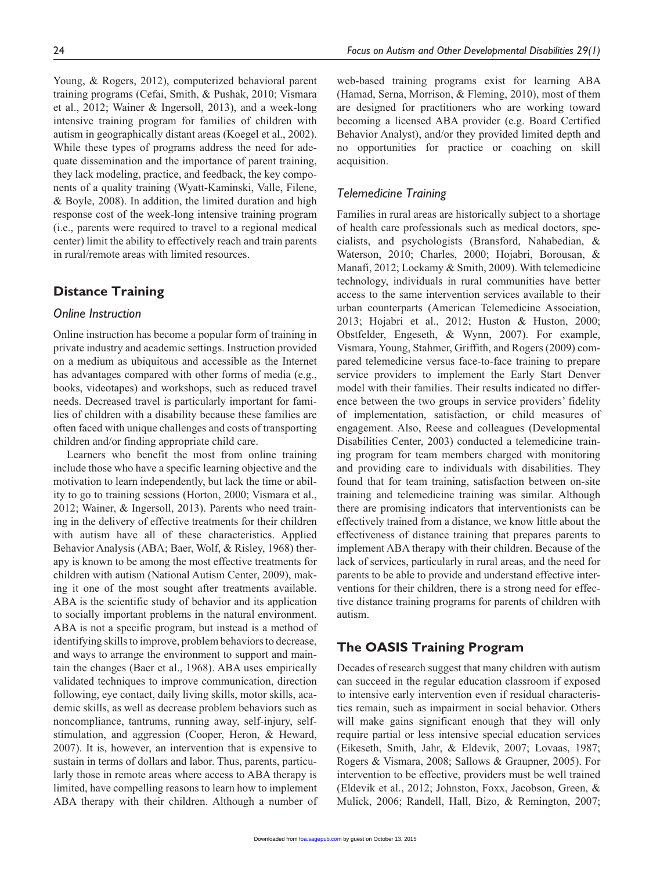Young, & Rogers, 2012), computerized behavioral parent training programs (Cefai, Smith, & Pushak, 2010; Vismara et al., 2012; Wainer & Ingersoll, 2013), and a week-long intensive training program for families of children with autism in geographically distant areas (Koegel et al., 2002). While these types of programs address the need for adequate dissemination and the importance of parent training, they lack modeling, practice, and feedback, the key components of a quality training (Wyatt-Kaminski, Valle, Filene, & Boyle, 2008). In addition, the limited duration and high response cost of the week-long intensive training program (i.e., parents were required to travel to a regional medical center) limit the ability to effectively reach and train parents in rural/remote areas with limited resources.

## **Distance Training**

#### *Online Instruction*

Online instruction has become a popular form of training in private industry and academic settings. Instruction provided on a medium as ubiquitous and accessible as the Internet has advantages compared with other forms of media (e.g., books, videotapes) and workshops, such as reduced travel needs. Decreased travel is particularly important for families of children with a disability because these families are often faced with unique challenges and costs of transporting children and/or finding appropriate child care.

Learners who benefit the most from online training include those who have a specific learning objective and the motivation to learn independently, but lack the time or ability to go to training sessions (Horton, 2000; Vismara et al., 2012; Wainer, & Ingersoll, 2013). Parents who need training in the delivery of effective treatments for their children with autism have all of these characteristics. Applied Behavior Analysis (ABA; Baer, Wolf, & Risley, 1968) therapy is known to be among the most effective treatments for children with autism (National Autism Center, 2009), making it one of the most sought after treatments available. ABA is the scientific study of behavior and its application to socially important problems in the natural environment. ABA is not a specific program, but instead is a method of identifying skills to improve, problem behaviors to decrease, and ways to arrange the environment to support and maintain the changes (Baer et al., 1968). ABA uses empirically validated techniques to improve communication, direction following, eye contact, daily living skills, motor skills, academic skills, as well as decrease problem behaviors such as noncompliance, tantrums, running away, self-injury, selfstimulation, and aggression (Cooper, Heron, & Heward, 2007). It is, however, an intervention that is expensive to sustain in terms of dollars and labor. Thus, parents, particularly those in remote areas where access to ABA therapy is limited, have compelling reasons to learn how to implement ABA therapy with their children. Although a number of

web-based training programs exist for learning ABA (Hamad, Serna, Morrison, & Fleming, 2010), most of them are designed for practitioners who are working toward becoming a licensed ABA provider (e.g. Board Certified Behavior Analyst), and/or they provided limited depth and no opportunities for practice or coaching on skill acquisition.

#### *Telemedicine Training*

Families in rural areas are historically subject to a shortage of health care professionals such as medical doctors, specialists, and psychologists (Bransford, Nahabedian, & Waterson, 2010; Charles, 2000; Hojabri, Borousan, & Manafi, 2012; Lockamy & Smith, 2009). With telemedicine technology, individuals in rural communities have better access to the same intervention services available to their urban counterparts (American Telemedicine Association, 2013; Hojabri et al., 2012; Huston & Huston, 2000; Obstfelder, Engeseth, & Wynn, 2007). For example, Vismara, Young, Stahmer, Griffith, and Rogers (2009) compared telemedicine versus face-to-face training to prepare service providers to implement the Early Start Denver model with their families. Their results indicated no difference between the two groups in service providers' fidelity of implementation, satisfaction, or child measures of engagement. Also, Reese and colleagues (Developmental Disabilities Center, 2003) conducted a telemedicine training program for team members charged with monitoring and providing care to individuals with disabilities. They found that for team training, satisfaction between on-site training and telemedicine training was similar. Although there are promising indicators that interventionists can be effectively trained from a distance, we know little about the effectiveness of distance training that prepares parents to implement ABA therapy with their children. Because of the lack of services, particularly in rural areas, and the need for parents to be able to provide and understand effective interventions for their children, there is a strong need for effective distance training programs for parents of children with autism.

## **The OASIS Training Program**

Decades of research suggest that many children with autism can succeed in the regular education classroom if exposed to intensive early intervention even if residual characteristics remain, such as impairment in social behavior. Others will make gains significant enough that they will only require partial or less intensive special education services (Eikeseth, Smith, Jahr, & Eldevik, 2007; Lovaas, 1987; Rogers & Vismara, 2008; Sallows & Graupner, 2005). For intervention to be effective, providers must be well trained (Eldevik et al., 2012; Johnston, Foxx, Jacobson, Green, & Mulick, 2006; Randell, Hall, Bizo, & Remington, 2007;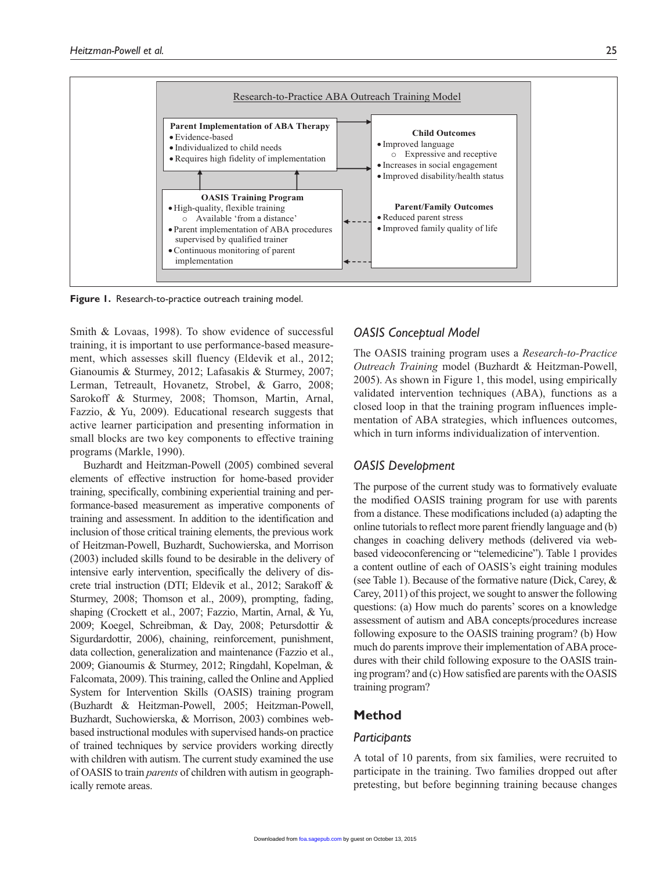

**Figure 1.** Research-to-practice outreach training model.

Smith & Lovaas, 1998). To show evidence of successful training, it is important to use performance-based measurement, which assesses skill fluency (Eldevik et al., 2012; Gianoumis & Sturmey, 2012; Lafasakis & Sturmey, 2007; Lerman, Tetreault, Hovanetz, Strobel, & Garro, 2008; Sarokoff & Sturmey, 2008; Thomson, Martin, Arnal, Fazzio, & Yu, 2009). Educational research suggests that active learner participation and presenting information in small blocks are two key components to effective training programs (Markle, 1990).

Buzhardt and Heitzman-Powell (2005) combined several elements of effective instruction for home-based provider training, specifically, combining experiential training and performance-based measurement as imperative components of training and assessment. In addition to the identification and inclusion of those critical training elements, the previous work of Heitzman-Powell, Buzhardt, Suchowierska, and Morrison (2003) included skills found to be desirable in the delivery of intensive early intervention, specifically the delivery of discrete trial instruction (DTI; Eldevik et al., 2012; Sarakoff & Sturmey, 2008; Thomson et al., 2009), prompting, fading, shaping (Crockett et al., 2007; Fazzio, Martin, Arnal, & Yu, 2009; Koegel, Schreibman, & Day, 2008; Petursdottir & Sigurdardottir, 2006), chaining, reinforcement, punishment, data collection, generalization and maintenance (Fazzio et al., 2009; Gianoumis & Sturmey, 2012; Ringdahl, Kopelman, & Falcomata, 2009). This training, called the Online and Applied System for Intervention Skills (OASIS) training program (Buzhardt & Heitzman-Powell, 2005; Heitzman-Powell, Buzhardt, Suchowierska, & Morrison, 2003) combines webbased instructional modules with supervised hands-on practice of trained techniques by service providers working directly with children with autism. The current study examined the use of OASIS to train *parents* of children with autism in geographically remote areas.

## *OASIS Conceptual Model*

The OASIS training program uses a *Research-to-Practice Outreach Training* model (Buzhardt & Heitzman-Powell, 2005). As shown in Figure 1, this model, using empirically validated intervention techniques (ABA), functions as a closed loop in that the training program influences implementation of ABA strategies, which influences outcomes, which in turn informs individualization of intervention.

## *OASIS Development*

The purpose of the current study was to formatively evaluate the modified OASIS training program for use with parents from a distance. These modifications included (a) adapting the online tutorials to reflect more parent friendly language and (b) changes in coaching delivery methods (delivered via webbased videoconferencing or "telemedicine"). Table 1 provides a content outline of each of OASIS's eight training modules (see Table 1). Because of the formative nature (Dick, Carey, & Carey, 2011) of this project, we sought to answer the following questions: (a) How much do parents' scores on a knowledge assessment of autism and ABA concepts/procedures increase following exposure to the OASIS training program? (b) How much do parents improve their implementation of ABA procedures with their child following exposure to the OASIS training program? and (c) How satisfied are parents with the OASIS training program?

## **Method**

## *Participants*

A total of 10 parents, from six families, were recruited to participate in the training. Two families dropped out after pretesting, but before beginning training because changes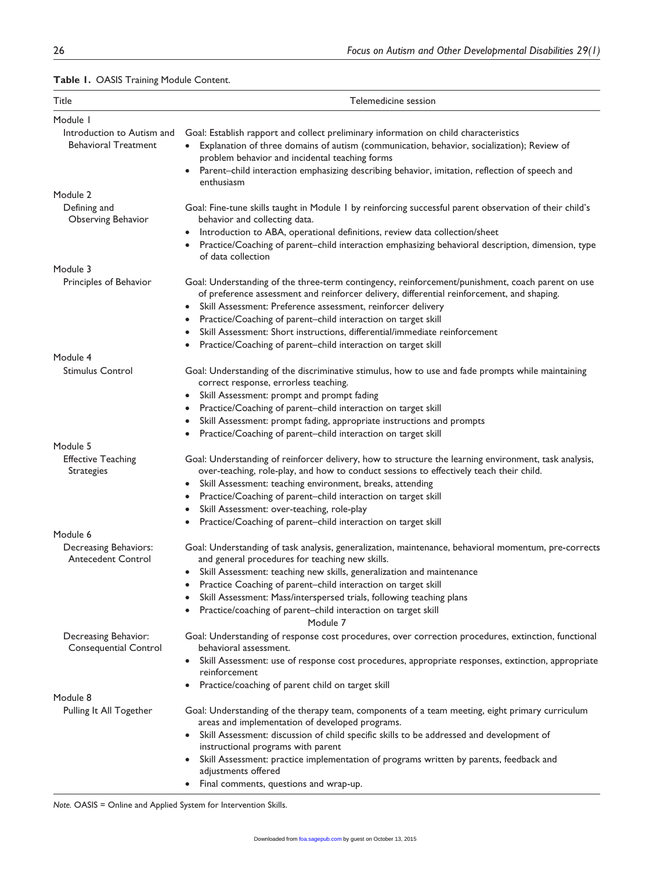| Title                                                     | Telemedicine session                                                                                                                                                                                                                                                                                                                                                                                                                                                        |
|-----------------------------------------------------------|-----------------------------------------------------------------------------------------------------------------------------------------------------------------------------------------------------------------------------------------------------------------------------------------------------------------------------------------------------------------------------------------------------------------------------------------------------------------------------|
| Module I                                                  |                                                                                                                                                                                                                                                                                                                                                                                                                                                                             |
| Introduction to Autism and<br><b>Behavioral Treatment</b> | Goal: Establish rapport and collect preliminary information on child characteristics<br>• Explanation of three domains of autism (communication, behavior, socialization); Review of<br>problem behavior and incidental teaching forms<br>Parent-child interaction emphasizing describing behavior, imitation, reflection of speech and<br>enthusiasm                                                                                                                       |
| Module 2                                                  |                                                                                                                                                                                                                                                                                                                                                                                                                                                                             |
| Defining and<br>Observing Behavior                        | Goal: Fine-tune skills taught in Module I by reinforcing successful parent observation of their child's<br>behavior and collecting data.<br>• Introduction to ABA, operational definitions, review data collection/sheet<br>• Practice/Coaching of parent-child interaction emphasizing behavioral description, dimension, type<br>of data collection                                                                                                                       |
| Module 3                                                  |                                                                                                                                                                                                                                                                                                                                                                                                                                                                             |
| Principles of Behavior                                    | Goal: Understanding of the three-term contingency, reinforcement/punishment, coach parent on use<br>of preference assessment and reinforcer delivery, differential reinforcement, and shaping.<br>Skill Assessment: Preference assessment, reinforcer delivery<br>$\bullet$<br>Practice/Coaching of parent-child interaction on target skill<br>٠<br>Skill Assessment: Short instructions, differential/immediate reinforcement                                             |
| Module 4                                                  | Practice/Coaching of parent-child interaction on target skill<br>٠                                                                                                                                                                                                                                                                                                                                                                                                          |
| <b>Stimulus Control</b>                                   | Goal: Understanding of the discriminative stimulus, how to use and fade prompts while maintaining<br>correct response, errorless teaching.<br>Skill Assessment: prompt and prompt fading<br>$\bullet$                                                                                                                                                                                                                                                                       |
|                                                           | Practice/Coaching of parent-child interaction on target skill<br>$\bullet$                                                                                                                                                                                                                                                                                                                                                                                                  |
|                                                           | Skill Assessment: prompt fading, appropriate instructions and prompts<br>٠<br>Practice/Coaching of parent-child interaction on target skill<br>٠                                                                                                                                                                                                                                                                                                                            |
| Module 5                                                  |                                                                                                                                                                                                                                                                                                                                                                                                                                                                             |
| <b>Effective Teaching</b><br><b>Strategies</b>            | Goal: Understanding of reinforcer delivery, how to structure the learning environment, task analysis,<br>over-teaching, role-play, and how to conduct sessions to effectively teach their child.<br>Skill Assessment: teaching environment, breaks, attending<br>٠<br>Practice/Coaching of parent-child interaction on target skill<br>Skill Assessment: over-teaching, role-play<br>٠<br>Practice/Coaching of parent-child interaction on target skill<br>$\bullet$        |
| Module 6                                                  |                                                                                                                                                                                                                                                                                                                                                                                                                                                                             |
| Decreasing Behaviors:<br><b>Antecedent Control</b>        | Goal: Understanding of task analysis, generalization, maintenance, behavioral momentum, pre-corrects<br>and general procedures for teaching new skills.<br>Skill Assessment: teaching new skills, generalization and maintenance<br>$\bullet$<br>Practice Coaching of parent-child interaction on target skill<br>٠<br>Skill Assessment: Mass/interspersed trials, following teaching plans<br>Practice/coaching of parent-child interaction on target skill<br>Module 7    |
| Decreasing Behavior:                                      | Goal: Understanding of response cost procedures, over correction procedures, extinction, functional                                                                                                                                                                                                                                                                                                                                                                         |
| <b>Consequential Control</b>                              | behavioral assessment.<br>• Skill Assessment: use of response cost procedures, appropriate responses, extinction, appropriate<br>reinforcement<br>Practice/coaching of parent child on target skill<br>٠                                                                                                                                                                                                                                                                    |
| Module 8                                                  |                                                                                                                                                                                                                                                                                                                                                                                                                                                                             |
| Pulling It All Together                                   | Goal: Understanding of the therapy team, components of a team meeting, eight primary curriculum<br>areas and implementation of developed programs.<br>Skill Assessment: discussion of child specific skills to be addressed and development of<br>$\bullet$<br>instructional programs with parent<br>• Skill Assessment: practice implementation of programs written by parents, feedback and<br>adjustments offered<br>Final comments, questions and wrap-up.<br>$\bullet$ |

**Table 1.** OASIS Training Module Content.

*Note.* OASIS = Online and Applied System for Intervention Skills.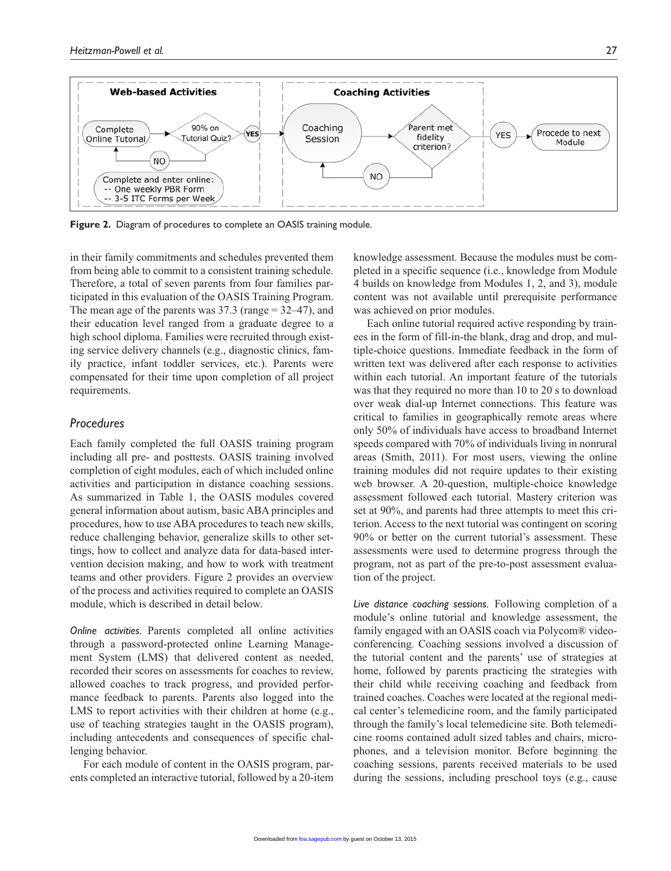

**Figure 2.** Diagram of procedures to complete an OASIS training module.

in their family commitments and schedules prevented them from being able to commit to a consistent training schedule. Therefore, a total of seven parents from four families participated in this evaluation of the OASIS Training Program. The mean age of the parents was 37.3 (range = 32–47), and their education level ranged from a graduate degree to a high school diploma. Families were recruited through existing service delivery channels (e.g., diagnostic clinics, family practice, infant toddler services, etc.). Parents were compensated for their time upon completion of all project requirements.

## *Procedures*

Each family completed the full OASIS training program including all pre- and posttests. OASIS training involved completion of eight modules, each of which included online activities and participation in distance coaching sessions. As summarized in Table 1, the OASIS modules covered general information about autism, basic ABA principles and procedures, how to use ABA procedures to teach new skills, reduce challenging behavior, generalize skills to other settings, how to collect and analyze data for data-based intervention decision making, and how to work with treatment teams and other providers. Figure 2 provides an overview of the process and activities required to complete an OASIS module, which is described in detail below.

*Online activities.* Parents completed all online activities through a password-protected online Learning Management System (LMS) that delivered content as needed, recorded their scores on assessments for coaches to review, allowed coaches to track progress, and provided performance feedback to parents. Parents also logged into the LMS to report activities with their children at home (e.g., use of teaching strategies taught in the OASIS program), including antecedents and consequences of specific challenging behavior.

For each module of content in the OASIS program, parents completed an interactive tutorial, followed by a 20-item knowledge assessment. Because the modules must be completed in a specific sequence (i.e., knowledge from Module 4 builds on knowledge from Modules 1, 2, and 3), module content was not available until prerequisite performance was achieved on prior modules.

Each online tutorial required active responding by trainees in the form of fill-in-the blank, drag and drop, and multiple-choice questions. Immediate feedback in the form of written text was delivered after each response to activities within each tutorial. An important feature of the tutorials was that they required no more than 10 to 20 s to download over weak dial-up Internet connections. This feature was critical to families in geographically remote areas where only 50% of individuals have access to broadband Internet speeds compared with 70% of individuals living in nonrural areas (Smith, 2011). For most users, viewing the online training modules did not require updates to their existing web browser. A 20-question, multiple-choice knowledge assessment followed each tutorial. Mastery criterion was set at 90%, and parents had three attempts to meet this criterion. Access to the next tutorial was contingent on scoring 90% or better on the current tutorial's assessment. These assessments were used to determine progress through the program, not as part of the pre-to-post assessment evaluation of the project.

*Live distance coaching sessions.* Following completion of a module's online tutorial and knowledge assessment, the family engaged with an OASIS coach via Polycom® videoconferencing. Coaching sessions involved a discussion of the tutorial content and the parents' use of strategies at home, followed by parents practicing the strategies with their child while receiving coaching and feedback from trained coaches. Coaches were located at the regional medical center's telemedicine room, and the family participated through the family's local telemedicine site. Both telemedicine rooms contained adult sized tables and chairs, microphones, and a television monitor. Before beginning the coaching sessions, parents received materials to be used during the sessions, including preschool toys (e.g., cause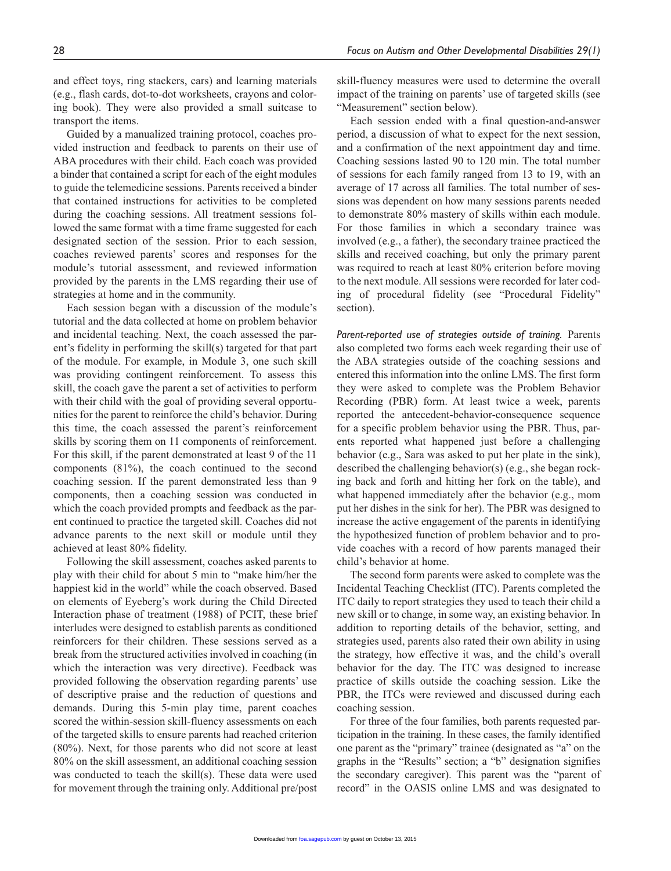and effect toys, ring stackers, cars) and learning materials (e.g., flash cards, dot-to-dot worksheets, crayons and coloring book). They were also provided a small suitcase to transport the items.

Guided by a manualized training protocol, coaches provided instruction and feedback to parents on their use of ABA procedures with their child. Each coach was provided a binder that contained a script for each of the eight modules to guide the telemedicine sessions. Parents received a binder that contained instructions for activities to be completed during the coaching sessions. All treatment sessions followed the same format with a time frame suggested for each designated section of the session. Prior to each session, coaches reviewed parents' scores and responses for the module's tutorial assessment, and reviewed information provided by the parents in the LMS regarding their use of strategies at home and in the community.

Each session began with a discussion of the module's tutorial and the data collected at home on problem behavior and incidental teaching. Next, the coach assessed the parent's fidelity in performing the skill(s) targeted for that part of the module. For example, in Module 3, one such skill was providing contingent reinforcement. To assess this skill, the coach gave the parent a set of activities to perform with their child with the goal of providing several opportunities for the parent to reinforce the child's behavior. During this time, the coach assessed the parent's reinforcement skills by scoring them on 11 components of reinforcement. For this skill, if the parent demonstrated at least 9 of the 11 components (81%), the coach continued to the second coaching session. If the parent demonstrated less than 9 components, then a coaching session was conducted in which the coach provided prompts and feedback as the parent continued to practice the targeted skill. Coaches did not advance parents to the next skill or module until they achieved at least 80% fidelity.

Following the skill assessment, coaches asked parents to play with their child for about 5 min to "make him/her the happiest kid in the world" while the coach observed. Based on elements of Eyeberg's work during the Child Directed Interaction phase of treatment (1988) of PCIT, these brief interludes were designed to establish parents as conditioned reinforcers for their children. These sessions served as a break from the structured activities involved in coaching (in which the interaction was very directive). Feedback was provided following the observation regarding parents' use of descriptive praise and the reduction of questions and demands. During this 5-min play time, parent coaches scored the within-session skill-fluency assessments on each of the targeted skills to ensure parents had reached criterion (80%). Next, for those parents who did not score at least 80% on the skill assessment, an additional coaching session was conducted to teach the skill(s). These data were used for movement through the training only. Additional pre/post

skill-fluency measures were used to determine the overall impact of the training on parents' use of targeted skills (see "Measurement" section below).

Each session ended with a final question-and-answer period, a discussion of what to expect for the next session, and a confirmation of the next appointment day and time. Coaching sessions lasted 90 to 120 min. The total number of sessions for each family ranged from 13 to 19, with an average of 17 across all families. The total number of sessions was dependent on how many sessions parents needed to demonstrate 80% mastery of skills within each module. For those families in which a secondary trainee was involved (e.g., a father), the secondary trainee practiced the skills and received coaching, but only the primary parent was required to reach at least 80% criterion before moving to the next module. All sessions were recorded for later coding of procedural fidelity (see "Procedural Fidelity" section).

*Parent-reported use of strategies outside of training.* Parents also completed two forms each week regarding their use of the ABA strategies outside of the coaching sessions and entered this information into the online LMS. The first form they were asked to complete was the Problem Behavior Recording (PBR) form. At least twice a week, parents reported the antecedent-behavior-consequence sequence for a specific problem behavior using the PBR. Thus, parents reported what happened just before a challenging behavior (e.g., Sara was asked to put her plate in the sink), described the challenging behavior(s) (e.g., she began rocking back and forth and hitting her fork on the table), and what happened immediately after the behavior (e.g., mom put her dishes in the sink for her). The PBR was designed to increase the active engagement of the parents in identifying the hypothesized function of problem behavior and to provide coaches with a record of how parents managed their child's behavior at home.

The second form parents were asked to complete was the Incidental Teaching Checklist (ITC). Parents completed the ITC daily to report strategies they used to teach their child a new skill or to change, in some way, an existing behavior. In addition to reporting details of the behavior, setting, and strategies used, parents also rated their own ability in using the strategy, how effective it was, and the child's overall behavior for the day. The ITC was designed to increase practice of skills outside the coaching session. Like the PBR, the ITCs were reviewed and discussed during each coaching session.

For three of the four families, both parents requested participation in the training. In these cases, the family identified one parent as the "primary" trainee (designated as "a" on the graphs in the "Results" section; a "b" designation signifies the secondary caregiver). This parent was the "parent of record" in the OASIS online LMS and was designated to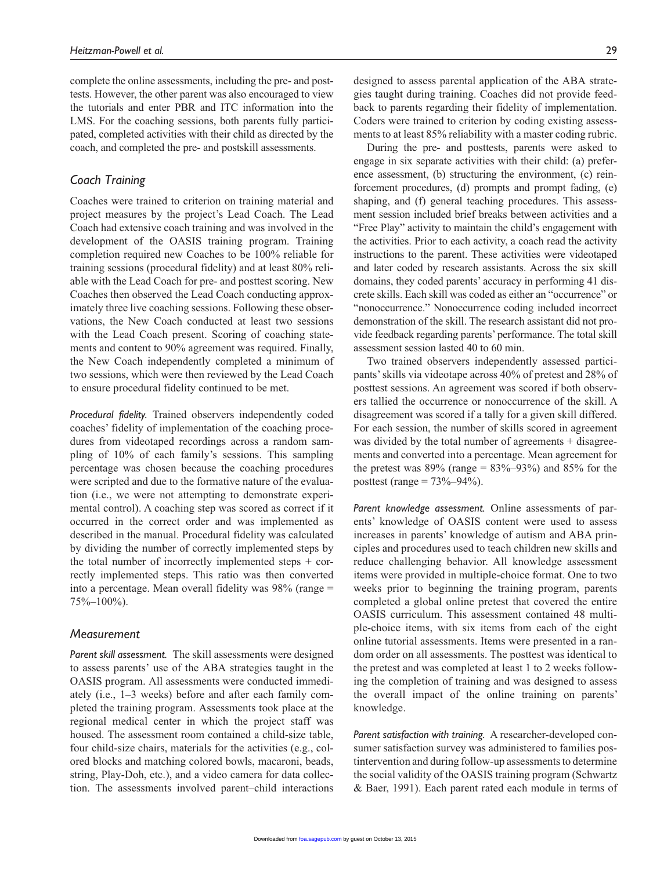complete the online assessments, including the pre- and posttests. However, the other parent was also encouraged to view the tutorials and enter PBR and ITC information into the LMS. For the coaching sessions, both parents fully participated, completed activities with their child as directed by the coach, and completed the pre- and postskill assessments.

#### *Coach Training*

Coaches were trained to criterion on training material and project measures by the project's Lead Coach. The Lead Coach had extensive coach training and was involved in the development of the OASIS training program. Training completion required new Coaches to be 100% reliable for training sessions (procedural fidelity) and at least 80% reliable with the Lead Coach for pre- and posttest scoring. New Coaches then observed the Lead Coach conducting approximately three live coaching sessions. Following these observations, the New Coach conducted at least two sessions with the Lead Coach present. Scoring of coaching statements and content to 90% agreement was required. Finally, the New Coach independently completed a minimum of two sessions, which were then reviewed by the Lead Coach to ensure procedural fidelity continued to be met.

*Procedural fidelity.* Trained observers independently coded coaches' fidelity of implementation of the coaching procedures from videotaped recordings across a random sampling of 10% of each family's sessions. This sampling percentage was chosen because the coaching procedures were scripted and due to the formative nature of the evaluation (i.e., we were not attempting to demonstrate experimental control). A coaching step was scored as correct if it occurred in the correct order and was implemented as described in the manual. Procedural fidelity was calculated by dividing the number of correctly implemented steps by the total number of incorrectly implemented steps + correctly implemented steps. This ratio was then converted into a percentage. Mean overall fidelity was 98% (range =  $75\% - 100\%$ ).

#### *Measurement*

*Parent skill assessment.* The skill assessments were designed to assess parents' use of the ABA strategies taught in the OASIS program. All assessments were conducted immediately (i.e., 1–3 weeks) before and after each family completed the training program. Assessments took place at the regional medical center in which the project staff was housed. The assessment room contained a child-size table, four child-size chairs, materials for the activities (e.g., colored blocks and matching colored bowls, macaroni, beads, string, Play-Doh, etc.), and a video camera for data collection. The assessments involved parent–child interactions

designed to assess parental application of the ABA strategies taught during training. Coaches did not provide feedback to parents regarding their fidelity of implementation. Coders were trained to criterion by coding existing assessments to at least 85% reliability with a master coding rubric.

During the pre- and posttests, parents were asked to engage in six separate activities with their child: (a) preference assessment, (b) structuring the environment, (c) reinforcement procedures, (d) prompts and prompt fading, (e) shaping, and (f) general teaching procedures. This assessment session included brief breaks between activities and a "Free Play" activity to maintain the child's engagement with the activities. Prior to each activity, a coach read the activity instructions to the parent. These activities were videotaped and later coded by research assistants. Across the six skill domains, they coded parents' accuracy in performing 41 discrete skills. Each skill was coded as either an "occurrence" or "nonoccurrence." Nonoccurrence coding included incorrect demonstration of the skill. The research assistant did not provide feedback regarding parents' performance. The total skill assessment session lasted 40 to 60 min.

Two trained observers independently assessed participants' skills via videotape across 40% of pretest and 28% of posttest sessions. An agreement was scored if both observers tallied the occurrence or nonoccurrence of the skill. A disagreement was scored if a tally for a given skill differed. For each session, the number of skills scored in agreement was divided by the total number of agreements + disagreements and converted into a percentage. Mean agreement for the pretest was  $89\%$  (range =  $83\%$ –93%) and  $85\%$  for the posttest (range  $= 73\% - 94\%$ ).

*Parent knowledge assessment.* Online assessments of parents' knowledge of OASIS content were used to assess increases in parents' knowledge of autism and ABA principles and procedures used to teach children new skills and reduce challenging behavior. All knowledge assessment items were provided in multiple-choice format. One to two weeks prior to beginning the training program, parents completed a global online pretest that covered the entire OASIS curriculum. This assessment contained 48 multiple-choice items, with six items from each of the eight online tutorial assessments. Items were presented in a random order on all assessments. The posttest was identical to the pretest and was completed at least 1 to 2 weeks following the completion of training and was designed to assess the overall impact of the online training on parents' knowledge.

*Parent satisfaction with training.* A researcher-developed consumer satisfaction survey was administered to families postintervention and during follow-up assessments to determine the social validity of the OASIS training program (Schwartz & Baer, 1991). Each parent rated each module in terms of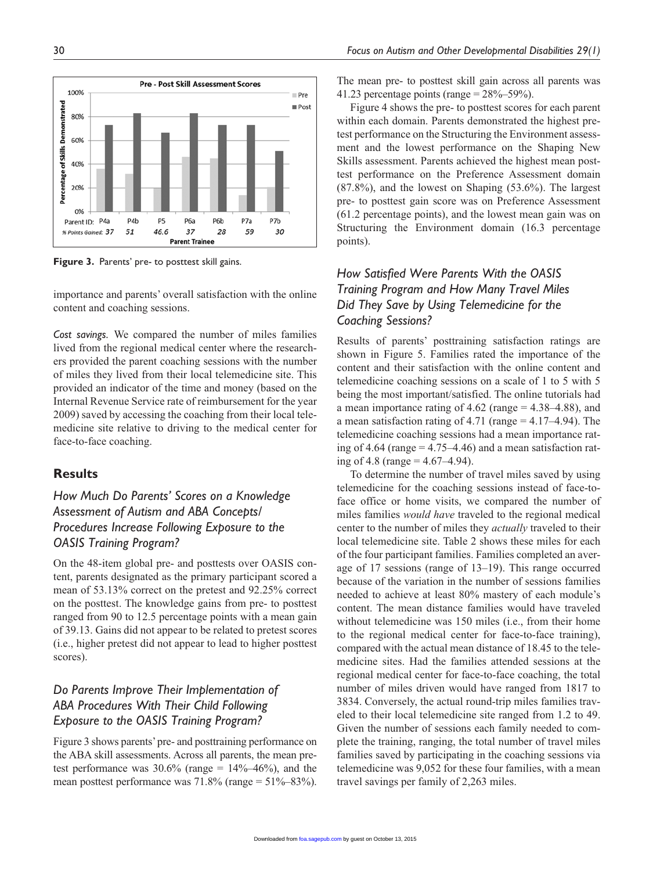

**Figure 3.** Parents' pre- to posttest skill gains.

importance and parents' overall satisfaction with the online content and coaching sessions.

*Cost savings.* We compared the number of miles families lived from the regional medical center where the researchers provided the parent coaching sessions with the number of miles they lived from their local telemedicine site. This provided an indicator of the time and money (based on the Internal Revenue Service rate of reimbursement for the year 2009) saved by accessing the coaching from their local telemedicine site relative to driving to the medical center for face-to-face coaching.

## **Results**

# *How Much Do Parents' Scores on a Knowledge Assessment of Autism and ABA Concepts/ Procedures Increase Following Exposure to the OASIS Training Program?*

On the 48-item global pre- and posttests over OASIS content, parents designated as the primary participant scored a mean of 53.13% correct on the pretest and 92.25% correct on the posttest. The knowledge gains from pre- to posttest ranged from 90 to 12.5 percentage points with a mean gain of 39.13. Gains did not appear to be related to pretest scores (i.e., higher pretest did not appear to lead to higher posttest scores).

## *Do Parents Improve Their Implementation of ABA Procedures With Their Child Following Exposure to the OASIS Training Program?*

Figure 3 shows parents' pre- and posttraining performance on the ABA skill assessments. Across all parents, the mean pretest performance was  $30.6\%$  (range =  $14\%$ –46%), and the mean posttest performance was 71.8% (range = 51%–83%).

The mean pre- to posttest skill gain across all parents was 41.23 percentage points (range =  $28\%$ –59%).

Figure 4 shows the pre- to posttest scores for each parent within each domain. Parents demonstrated the highest pretest performance on the Structuring the Environment assessment and the lowest performance on the Shaping New Skills assessment. Parents achieved the highest mean posttest performance on the Preference Assessment domain (87.8%), and the lowest on Shaping (53.6%). The largest pre- to posttest gain score was on Preference Assessment (61.2 percentage points), and the lowest mean gain was on Structuring the Environment domain (16.3 percentage points).

# *How Satisfied Were Parents With the OASIS Training Program and How Many Travel Miles Did They Save by Using Telemedicine for the Coaching Sessions?*

Results of parents' posttraining satisfaction ratings are shown in Figure 5. Families rated the importance of the content and their satisfaction with the online content and telemedicine coaching sessions on a scale of 1 to 5 with 5 being the most important/satisfied. The online tutorials had a mean importance rating of 4.62 (range = 4.38–4.88), and a mean satisfaction rating of 4.71 (range  $= 4.17 - 4.94$ ). The telemedicine coaching sessions had a mean importance rating of 4.64 (range  $= 4.75 - 4.46$ ) and a mean satisfaction rating of 4.8 (range  $= 4.67 - 4.94$ ).

To determine the number of travel miles saved by using telemedicine for the coaching sessions instead of face-toface office or home visits, we compared the number of miles families *would have* traveled to the regional medical center to the number of miles they *actually* traveled to their local telemedicine site. Table 2 shows these miles for each of the four participant families. Families completed an average of 17 sessions (range of 13–19). This range occurred because of the variation in the number of sessions families needed to achieve at least 80% mastery of each module's content. The mean distance families would have traveled without telemedicine was 150 miles (i.e., from their home to the regional medical center for face-to-face training), compared with the actual mean distance of 18.45 to the telemedicine sites. Had the families attended sessions at the regional medical center for face-to-face coaching, the total number of miles driven would have ranged from 1817 to 3834. Conversely, the actual round-trip miles families traveled to their local telemedicine site ranged from 1.2 to 49. Given the number of sessions each family needed to complete the training, ranging, the total number of travel miles families saved by participating in the coaching sessions via telemedicine was 9,052 for these four families, with a mean travel savings per family of 2,263 miles.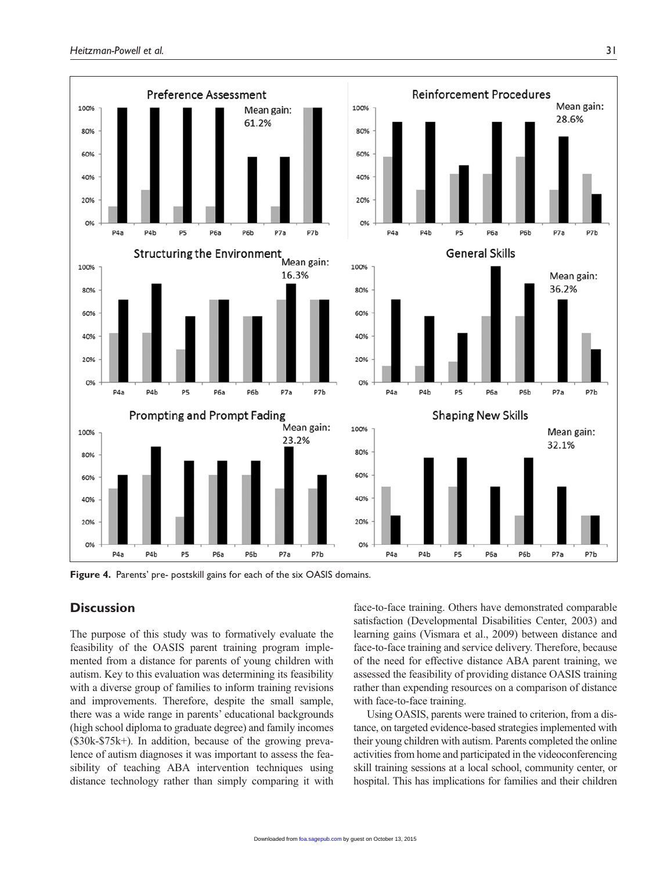







## **Discussion**

The purpose of this study was to formatively evaluate the feasibility of the OASIS parent training program implemented from a distance for parents of young children with autism. Key to this evaluation was determining its feasibility with a diverse group of families to inform training revisions and improvements. Therefore, despite the small sample, there was a wide range in parents' educational backgrounds (high school diploma to graduate degree) and family incomes (\$30k-\$75k+). In addition, because of the growing prevalence of autism diagnoses it was important to assess the feasibility of teaching ABA intervention techniques using distance technology rather than simply comparing it with

face-to-face training. Others have demonstrated comparable satisfaction (Developmental Disabilities Center, 2003) and learning gains (Vismara et al., 2009) between distance and face-to-face training and service delivery. Therefore, because of the need for effective distance ABA parent training, we assessed the feasibility of providing distance OASIS training rather than expending resources on a comparison of distance with face-to-face training.

Using OASIS, parents were trained to criterion, from a distance, on targeted evidence-based strategies implemented with their young children with autism. Parents completed the online activities from home and participated in the videoconferencing skill training sessions at a local school, community center, or hospital. This has implications for families and their children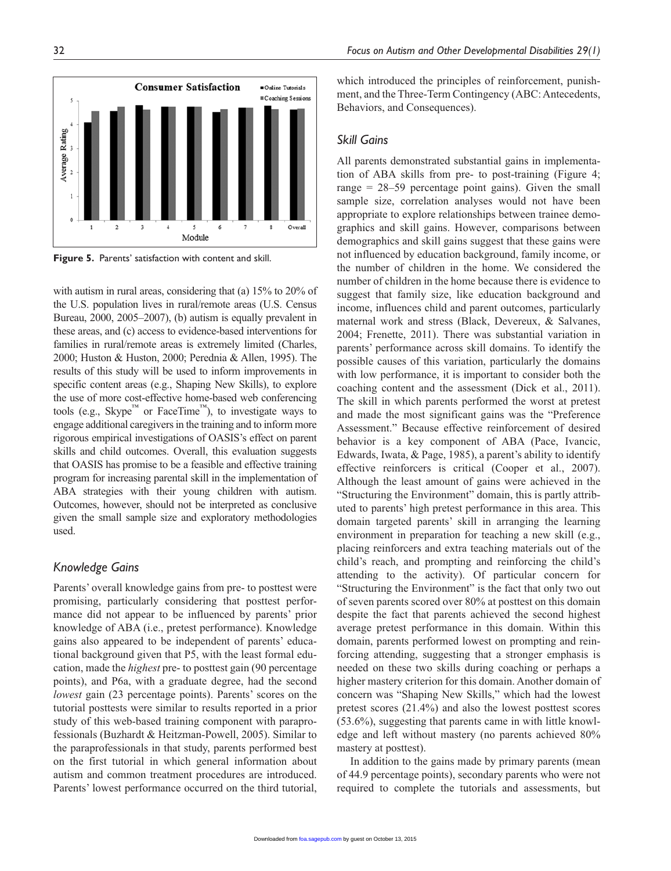**Consumer Satisfaction** Online Tutorials ■ Coaching Sessions 5 Average Rating Overal Module

**Figure 5.** Parents' satisfaction with content and skill.

with autism in rural areas, considering that (a) 15% to 20% of the U.S. population lives in rural/remote areas (U.S. Census Bureau, 2000, 2005–2007), (b) autism is equally prevalent in these areas, and (c) access to evidence-based interventions for families in rural/remote areas is extremely limited (Charles, 2000; Huston & Huston, 2000; Perednia & Allen, 1995). The results of this study will be used to inform improvements in specific content areas (e.g., Shaping New Skills), to explore the use of more cost-effective home-based web conferencing tools (e.g., Skype™ or FaceTime™), to investigate ways to engage additional caregivers in the training and to inform more rigorous empirical investigations of OASIS's effect on parent skills and child outcomes. Overall, this evaluation suggests that OASIS has promise to be a feasible and effective training program for increasing parental skill in the implementation of ABA strategies with their young children with autism. Outcomes, however, should not be interpreted as conclusive given the small sample size and exploratory methodologies used.

## *Knowledge Gains*

Parents' overall knowledge gains from pre- to posttest were promising, particularly considering that posttest performance did not appear to be influenced by parents' prior knowledge of ABA (i.e., pretest performance). Knowledge gains also appeared to be independent of parents' educational background given that P5, with the least formal education, made the *highest* pre- to posttest gain (90 percentage points), and P6a, with a graduate degree, had the second *lowest* gain (23 percentage points). Parents' scores on the tutorial posttests were similar to results reported in a prior study of this web-based training component with paraprofessionals (Buzhardt & Heitzman-Powell, 2005). Similar to the paraprofessionals in that study, parents performed best on the first tutorial in which general information about autism and common treatment procedures are introduced. Parents' lowest performance occurred on the third tutorial, which introduced the principles of reinforcement, punishment, and the Three-Term Contingency (ABC: Antecedents, Behaviors, and Consequences).

#### *Skill Gains*

All parents demonstrated substantial gains in implementation of ABA skills from pre- to post-training (Figure 4; range = 28–59 percentage point gains). Given the small sample size, correlation analyses would not have been appropriate to explore relationships between trainee demographics and skill gains. However, comparisons between demographics and skill gains suggest that these gains were not influenced by education background, family income, or the number of children in the home. We considered the number of children in the home because there is evidence to suggest that family size, like education background and income, influences child and parent outcomes, particularly maternal work and stress (Black, Devereux, & Salvanes, 2004; Frenette, 2011). There was substantial variation in parents' performance across skill domains. To identify the possible causes of this variation, particularly the domains with low performance, it is important to consider both the coaching content and the assessment (Dick et al., 2011). The skill in which parents performed the worst at pretest and made the most significant gains was the "Preference Assessment." Because effective reinforcement of desired behavior is a key component of ABA (Pace, Ivancic, Edwards, Iwata, & Page, 1985), a parent's ability to identify effective reinforcers is critical (Cooper et al., 2007). Although the least amount of gains were achieved in the "Structuring the Environment" domain, this is partly attributed to parents' high pretest performance in this area. This domain targeted parents' skill in arranging the learning environment in preparation for teaching a new skill (e.g., placing reinforcers and extra teaching materials out of the child's reach, and prompting and reinforcing the child's attending to the activity). Of particular concern for "Structuring the Environment" is the fact that only two out of seven parents scored over 80% at posttest on this domain despite the fact that parents achieved the second highest average pretest performance in this domain. Within this domain, parents performed lowest on prompting and reinforcing attending, suggesting that a stronger emphasis is needed on these two skills during coaching or perhaps a higher mastery criterion for this domain. Another domain of concern was "Shaping New Skills," which had the lowest pretest scores (21.4%) and also the lowest posttest scores (53.6%), suggesting that parents came in with little knowledge and left without mastery (no parents achieved 80% mastery at posttest).

In addition to the gains made by primary parents (mean of 44.9 percentage points), secondary parents who were not required to complete the tutorials and assessments, but

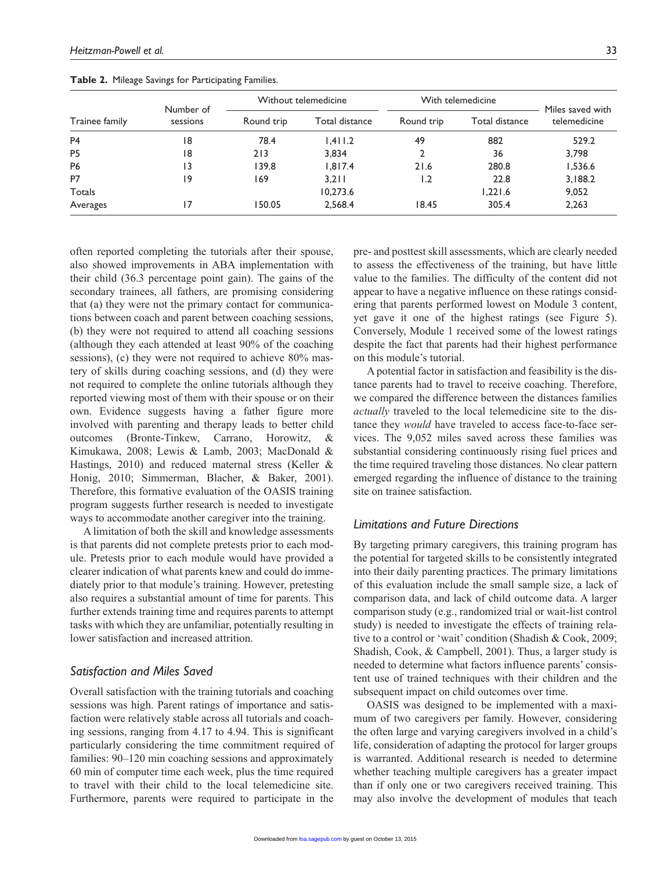|                | Number of | Without telemedicine |                | With telemedicine |                | Miles saved with |
|----------------|-----------|----------------------|----------------|-------------------|----------------|------------------|
| Trainee family | sessions  | Round trip           | Total distance | Round trip        | Total distance | telemedicine     |
| P <sub>4</sub> | 18        | 78.4                 | 1,411.2        | 49                | 882            | 529.2            |
| P <sub>5</sub> | 18        | 213                  | 3.834          |                   | 36             | 3,798            |
| <b>P6</b>      | ۱3        | 139.8                | 1.817.4        | 21.6              | 280.8          | 1,536.6          |
| <b>P7</b>      | 19        | 169                  | 3.211          | 1.2               | 22.8           | 3,188.2          |
| Totals         |           |                      | 10,273.6       |                   | 1,221.6        | 9,052            |
| Averages       | 17        | 150.05               | 2.568.4        | 18.45             | 305.4          | 2,263            |

**Table 2.** Mileage Savings for Participating Families.

often reported completing the tutorials after their spouse, also showed improvements in ABA implementation with their child (36.3 percentage point gain). The gains of the secondary trainees, all fathers, are promising considering that (a) they were not the primary contact for communications between coach and parent between coaching sessions, (b) they were not required to attend all coaching sessions (although they each attended at least 90% of the coaching sessions), (c) they were not required to achieve 80% mastery of skills during coaching sessions, and (d) they were not required to complete the online tutorials although they reported viewing most of them with their spouse or on their own. Evidence suggests having a father figure more involved with parenting and therapy leads to better child outcomes (Bronte-Tinkew, Carrano, Horowitz, & Kimukawa, 2008; Lewis & Lamb, 2003; MacDonald & Hastings, 2010) and reduced maternal stress (Keller & Honig, 2010; Simmerman, Blacher, & Baker, 2001). Therefore, this formative evaluation of the OASIS training program suggests further research is needed to investigate ways to accommodate another caregiver into the training.

A limitation of both the skill and knowledge assessments is that parents did not complete pretests prior to each module. Pretests prior to each module would have provided a clearer indication of what parents knew and could do immediately prior to that module's training. However, pretesting also requires a substantial amount of time for parents. This further extends training time and requires parents to attempt tasks with which they are unfamiliar, potentially resulting in lower satisfaction and increased attrition.

#### *Satisfaction and Miles Saved*

Overall satisfaction with the training tutorials and coaching sessions was high. Parent ratings of importance and satisfaction were relatively stable across all tutorials and coaching sessions, ranging from 4.17 to 4.94. This is significant particularly considering the time commitment required of families: 90–120 min coaching sessions and approximately 60 min of computer time each week, plus the time required to travel with their child to the local telemedicine site. Furthermore, parents were required to participate in the

pre- and posttest skill assessments, which are clearly needed to assess the effectiveness of the training, but have little value to the families. The difficulty of the content did not appear to have a negative influence on these ratings considering that parents performed lowest on Module 3 content, yet gave it one of the highest ratings (see Figure 5). Conversely, Module 1 received some of the lowest ratings despite the fact that parents had their highest performance on this module's tutorial.

A potential factor in satisfaction and feasibility is the distance parents had to travel to receive coaching. Therefore, we compared the difference between the distances families *actually* traveled to the local telemedicine site to the distance they *would* have traveled to access face-to-face services. The 9,052 miles saved across these families was substantial considering continuously rising fuel prices and the time required traveling those distances. No clear pattern emerged regarding the influence of distance to the training site on trainee satisfaction.

#### *Limitations and Future Directions*

By targeting primary caregivers, this training program has the potential for targeted skills to be consistently integrated into their daily parenting practices. The primary limitations of this evaluation include the small sample size, a lack of comparison data, and lack of child outcome data. A larger comparison study (e.g., randomized trial or wait-list control study) is needed to investigate the effects of training relative to a control or 'wait' condition (Shadish & Cook, 2009; Shadish, Cook, & Campbell, 2001). Thus, a larger study is needed to determine what factors influence parents' consistent use of trained techniques with their children and the subsequent impact on child outcomes over time.

OASIS was designed to be implemented with a maximum of two caregivers per family. However, considering the often large and varying caregivers involved in a child's life, consideration of adapting the protocol for larger groups is warranted. Additional research is needed to determine whether teaching multiple caregivers has a greater impact than if only one or two caregivers received training. This may also involve the development of modules that teach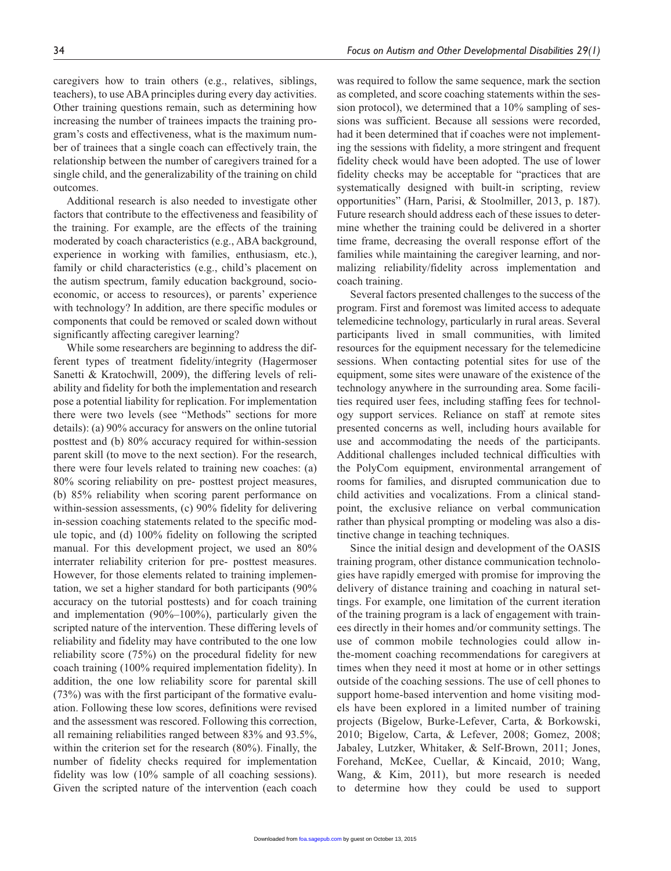caregivers how to train others (e.g., relatives, siblings, teachers), to use ABA principles during every day activities. Other training questions remain, such as determining how increasing the number of trainees impacts the training program's costs and effectiveness, what is the maximum number of trainees that a single coach can effectively train, the relationship between the number of caregivers trained for a single child, and the generalizability of the training on child outcomes.

Additional research is also needed to investigate other factors that contribute to the effectiveness and feasibility of the training. For example, are the effects of the training moderated by coach characteristics (e.g., ABA background, experience in working with families, enthusiasm, etc.), family or child characteristics (e.g., child's placement on the autism spectrum, family education background, socioeconomic, or access to resources), or parents' experience with technology? In addition, are there specific modules or components that could be removed or scaled down without significantly affecting caregiver learning?

While some researchers are beginning to address the different types of treatment fidelity/integrity (Hagermoser Sanetti & Kratochwill, 2009), the differing levels of reliability and fidelity for both the implementation and research pose a potential liability for replication. For implementation there were two levels (see "Methods" sections for more details): (a) 90% accuracy for answers on the online tutorial posttest and (b) 80% accuracy required for within-session parent skill (to move to the next section). For the research, there were four levels related to training new coaches: (a) 80% scoring reliability on pre- posttest project measures, (b) 85% reliability when scoring parent performance on within-session assessments, (c) 90% fidelity for delivering in-session coaching statements related to the specific module topic, and (d) 100% fidelity on following the scripted manual. For this development project, we used an 80% interrater reliability criterion for pre- posttest measures. However, for those elements related to training implementation, we set a higher standard for both participants (90% accuracy on the tutorial posttests) and for coach training and implementation (90%–100%), particularly given the scripted nature of the intervention. These differing levels of reliability and fidelity may have contributed to the one low reliability score (75%) on the procedural fidelity for new coach training (100% required implementation fidelity). In addition, the one low reliability score for parental skill (73%) was with the first participant of the formative evaluation. Following these low scores, definitions were revised and the assessment was rescored. Following this correction, all remaining reliabilities ranged between 83% and 93.5%, within the criterion set for the research (80%). Finally, the number of fidelity checks required for implementation fidelity was low (10% sample of all coaching sessions). Given the scripted nature of the intervention (each coach was required to follow the same sequence, mark the section as completed, and score coaching statements within the session protocol), we determined that a 10% sampling of sessions was sufficient. Because all sessions were recorded, had it been determined that if coaches were not implementing the sessions with fidelity, a more stringent and frequent fidelity check would have been adopted. The use of lower fidelity checks may be acceptable for "practices that are systematically designed with built-in scripting, review opportunities" (Harn, Parisi, & Stoolmiller, 2013, p. 187). Future research should address each of these issues to determine whether the training could be delivered in a shorter time frame, decreasing the overall response effort of the families while maintaining the caregiver learning, and normalizing reliability/fidelity across implementation and coach training.

Several factors presented challenges to the success of the program. First and foremost was limited access to adequate telemedicine technology, particularly in rural areas. Several participants lived in small communities, with limited resources for the equipment necessary for the telemedicine sessions. When contacting potential sites for use of the equipment, some sites were unaware of the existence of the technology anywhere in the surrounding area. Some facilities required user fees, including staffing fees for technology support services. Reliance on staff at remote sites presented concerns as well, including hours available for use and accommodating the needs of the participants. Additional challenges included technical difficulties with the PolyCom equipment, environmental arrangement of rooms for families, and disrupted communication due to child activities and vocalizations. From a clinical standpoint, the exclusive reliance on verbal communication rather than physical prompting or modeling was also a distinctive change in teaching techniques.

Since the initial design and development of the OASIS training program, other distance communication technologies have rapidly emerged with promise for improving the delivery of distance training and coaching in natural settings. For example, one limitation of the current iteration of the training program is a lack of engagement with trainees directly in their homes and/or community settings. The use of common mobile technologies could allow inthe-moment coaching recommendations for caregivers at times when they need it most at home or in other settings outside of the coaching sessions. The use of cell phones to support home-based intervention and home visiting models have been explored in a limited number of training projects (Bigelow, Burke-Lefever, Carta, & Borkowski, 2010; Bigelow, Carta, & Lefever, 2008; Gomez, 2008; Jabaley, Lutzker, Whitaker, & Self-Brown, 2011; Jones, Forehand, McKee, Cuellar, & Kincaid, 2010; Wang, Wang, & Kim, 2011), but more research is needed to determine how they could be used to support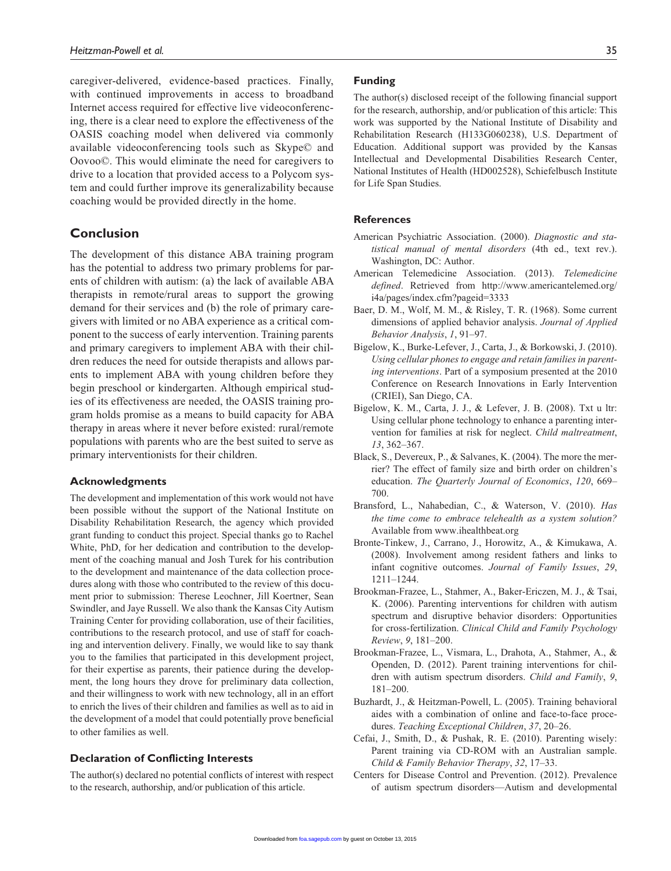caregiver-delivered, evidence-based practices. Finally, with continued improvements in access to broadband Internet access required for effective live videoconferencing, there is a clear need to explore the effectiveness of the OASIS coaching model when delivered via commonly available videoconferencing tools such as Skype© and Oovoo©. This would eliminate the need for caregivers to drive to a location that provided access to a Polycom system and could further improve its generalizability because coaching would be provided directly in the home.

## **Conclusion**

The development of this distance ABA training program has the potential to address two primary problems for parents of children with autism: (a) the lack of available ABA therapists in remote/rural areas to support the growing demand for their services and (b) the role of primary caregivers with limited or no ABA experience as a critical component to the success of early intervention. Training parents and primary caregivers to implement ABA with their children reduces the need for outside therapists and allows parents to implement ABA with young children before they begin preschool or kindergarten. Although empirical studies of its effectiveness are needed, the OASIS training program holds promise as a means to build capacity for ABA therapy in areas where it never before existed: rural/remote populations with parents who are the best suited to serve as primary interventionists for their children.

#### **Acknowledgments**

The development and implementation of this work would not have been possible without the support of the National Institute on Disability Rehabilitation Research, the agency which provided grant funding to conduct this project. Special thanks go to Rachel White, PhD, for her dedication and contribution to the development of the coaching manual and Josh Turek for his contribution to the development and maintenance of the data collection procedures along with those who contributed to the review of this document prior to submission: Therese Leochner, Jill Koertner, Sean Swindler, and Jaye Russell. We also thank the Kansas City Autism Training Center for providing collaboration, use of their facilities, contributions to the research protocol, and use of staff for coaching and intervention delivery. Finally, we would like to say thank you to the families that participated in this development project, for their expertise as parents, their patience during the development, the long hours they drove for preliminary data collection, and their willingness to work with new technology, all in an effort to enrich the lives of their children and families as well as to aid in the development of a model that could potentially prove beneficial to other families as well.

#### **Declaration of Conflicting Interests**

The author(s) declared no potential conflicts of interest with respect to the research, authorship, and/or publication of this article.

#### **Funding**

The author(s) disclosed receipt of the following financial support for the research, authorship, and/or publication of this article: This work was supported by the National Institute of Disability and Rehabilitation Research (H133G060238), U.S. Department of Education. Additional support was provided by the Kansas Intellectual and Developmental Disabilities Research Center, National Institutes of Health (HD002528), Schiefelbusch Institute for Life Span Studies.

#### **References**

- American Psychiatric Association. (2000). *Diagnostic and statistical manual of mental disorders* (4th ed., text rev.). Washington, DC: Author.
- American Telemedicine Association. (2013). *Telemedicine defined*[. Retrieved from http://www.americantelemed.org/](http://www.americantelemed.org/i4a/pages/index.cfm?pageid=3333) i4a/pages/index.cfm?pageid=3333
- Baer, D. M., Wolf, M. M., & Risley, T. R. (1968). Some current dimensions of applied behavior analysis. *Journal of Applied Behavior Analysis*, *1*, 91–97.
- Bigelow, K., Burke-Lefever, J., Carta, J., & Borkowski, J. (2010). *Using cellular phones to engage and retain families in parenting interventions*. Part of a symposium presented at the 2010 Conference on Research Innovations in Early Intervention (CRIEI), San Diego, CA.
- Bigelow, K. M., Carta, J. J., & Lefever, J. B. (2008). Txt u ltr: Using cellular phone technology to enhance a parenting intervention for families at risk for neglect. *Child maltreatment*, *13*, 362–367.
- Black, S., Devereux, P., & Salvanes, K. (2004). The more the merrier? The effect of family size and birth order on children's education. *The Quarterly Journal of Economics*, *120*, 669– 700.
- Bransford, L., Nahabedian, C., & Waterson, V. (2010). *Has the time come to embrace telehealth as a system solution?* Available from www.ihealthbeat.org
- Bronte-Tinkew, J., Carrano, J., Horowitz, A., & Kimukawa, A. (2008). Involvement among resident fathers and links to infant cognitive outcomes. *Journal of Family Issues*, *29*, 1211–1244.
- Brookman-Frazee, L., Stahmer, A., Baker-Ericzen, M. J., & Tsai, K. (2006). Parenting interventions for children with autism spectrum and disruptive behavior disorders: Opportunities for cross-fertilization. *Clinical Child and Family Psychology Review*, *9*, 181–200.
- Brookman-Frazee, L., Vismara, L., Drahota, A., Stahmer, A., & Openden, D. (2012). Parent training interventions for children with autism spectrum disorders. *Child and Family*, *9*, 181–200.
- Buzhardt, J., & Heitzman-Powell, L. (2005). Training behavioral aides with a combination of online and face-to-face procedures. *Teaching Exceptional Children*, *37*, 20–26.
- Cefai, J., Smith, D., & Pushak, R. E. (2010). Parenting wisely: Parent training via CD-ROM with an Australian sample. *Child & Family Behavior Therapy*, *32*, 17–33.
- Centers for Disease Control and Prevention. (2012). Prevalence of autism spectrum disorders—Autism and developmental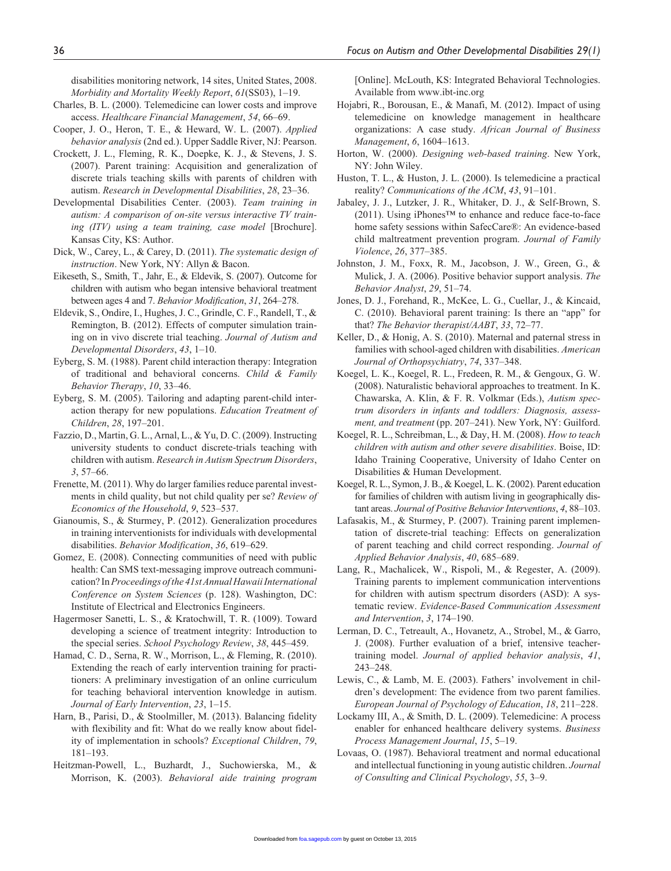disabilities monitoring network, 14 sites, United States, 2008. *Morbidity and Mortality Weekly Report*, *61*(SS03), 1–19.

- Charles, B. L. (2000). Telemedicine can lower costs and improve access. *Healthcare Financial Management*, *54*, 66–69.
- Cooper, J. O., Heron, T. E., & Heward, W. L. (2007). *Applied behavior analysis* (2nd ed.). Upper Saddle River, NJ: Pearson.
- Crockett, J. L., Fleming, R. K., Doepke, K. J., & Stevens, J. S. (2007). Parent training: Acquisition and generalization of discrete trials teaching skills with parents of children with autism. *Research in Developmental Disabilities*, *28*, 23–36.
- Developmental Disabilities Center. (2003). *Team training in autism: A comparison of on-site versus interactive TV training (ITV) using a team training, case model* [Brochure]. Kansas City, KS: Author.
- Dick, W., Carey, L., & Carey, D. (2011). *The systematic design of instruction*. New York, NY: Allyn & Bacon.
- Eikeseth, S., Smith, T., Jahr, E., & Eldevik, S. (2007). Outcome for children with autism who began intensive behavioral treatment between ages 4 and 7. *Behavior Modification*, *31*, 264–278.
- Eldevik, S., Ondire, I., Hughes, J. C., Grindle, C. F., Randell, T., & Remington, B. (2012). Effects of computer simulation training on in vivo discrete trial teaching. *Journal of Autism and Developmental Disorders*, *43*, 1–10.
- Eyberg, S. M. (1988). Parent child interaction therapy: Integration of traditional and behavioral concerns. *Child & Family Behavior Therapy*, *10*, 33–46.
- Eyberg, S. M. (2005). Tailoring and adapting parent-child interaction therapy for new populations. *Education Treatment of Children*, *28*, 197–201.
- Fazzio, D., Martin, G. L., Arnal, L., & Yu, D. C. (2009). Instructing university students to conduct discrete-trials teaching with children with autism. *Research in Autism Spectrum Disorders*, *3*, 57–66.
- Frenette, M. (2011). Why do larger families reduce parental investments in child quality, but not child quality per se? *Review of Economics of the Household*, *9*, 523–537.
- Gianoumis, S., & Sturmey, P. (2012). Generalization procedures in training interventionists for individuals with developmental disabilities. *Behavior Modification*, *36*, 619–629.
- Gomez, E. (2008). Connecting communities of need with public health: Can SMS text-messaging improve outreach communication? In *Proceedings of the 41st Annual Hawaii International Conference on System Sciences* (p. 128). Washington, DC: Institute of Electrical and Electronics Engineers.
- Hagermoser Sanetti, L. S., & Kratochwill, T. R. (1009). Toward developing a science of treatment integrity: Introduction to the special series. *School Psychology Review*, *38*, 445–459.
- Hamad, C. D., Serna, R. W., Morrison, L., & Fleming, R. (2010). Extending the reach of early intervention training for practitioners: A preliminary investigation of an online curriculum for teaching behavioral intervention knowledge in autism. *Journal of Early Intervention*, *23*, 1–15.
- Harn, B., Parisi, D., & Stoolmiller, M. (2013). Balancing fidelity with flexibility and fit: What do we really know about fidelity of implementation in schools? *Exceptional Children*, *79*, 181–193.
- Heitzman-Powell, L., Buzhardt, J., Suchowierska, M., & Morrison, K. (2003). *Behavioral aide training program*

[Online]. McLouth, KS: Integrated Behavioral Technologies. Available from www.ibt-inc.org

- Hojabri, R., Borousan, E., & Manafi, M. (2012). Impact of using telemedicine on knowledge management in healthcare organizations: A case study. *African Journal of Business Management*, *6*, 1604–1613.
- Horton, W. (2000). *Designing web-based training*. New York, NY: John Wiley.
- Huston, T. L., & Huston, J. L. (2000). Is telemedicine a practical reality? *Communications of the ACM*, *43*, 91–101.
- Jabaley, J. J., Lutzker, J. R., Whitaker, D. J., & Self-Brown, S. (2011). Using iPhones™ to enhance and reduce face-to-face home safety sessions within SafecCare®: An evidence-based child maltreatment prevention program. *Journal of Family Violence*, *26*, 377–385.
- Johnston, J. M., Foxx, R. M., Jacobson, J. W., Green, G., & Mulick, J. A. (2006). Positive behavior support analysis. *The Behavior Analyst*, *29*, 51–74.
- Jones, D. J., Forehand, R., McKee, L. G., Cuellar, J., & Kincaid, C. (2010). Behavioral parent training: Is there an "app" for that? *The Behavior therapist/AABT*, *33*, 72–77.
- Keller, D., & Honig, A. S. (2010). Maternal and paternal stress in families with school-aged children with disabilities. *American Journal of Orthopsychiatry*, *74*, 337–348.
- Koegel, L. K., Koegel, R. L., Fredeen, R. M., & Gengoux, G. W. (2008). Naturalistic behavioral approaches to treatment. In K. Chawarska, A. Klin, & F. R. Volkmar (Eds.), *Autism spectrum disorders in infants and toddlers: Diagnosis, assessment, and treatment* (pp. 207–241). New York, NY: Guilford.
- Koegel, R. L., Schreibman, L., & Day, H. M. (2008). *How to teach children with autism and other severe disabilities*. Boise, ID: Idaho Training Cooperative, University of Idaho Center on Disabilities & Human Development.
- Koegel, R. L., Symon, J. B., & Koegel, L. K. (2002). Parent education for families of children with autism living in geographically distant areas. *Journal of Positive Behavior Interventions*, *4*, 88–103.
- Lafasakis, M., & Sturmey, P. (2007). Training parent implementation of discrete-trial teaching: Effects on generalization of parent teaching and child correct responding. *Journal of Applied Behavior Analysis*, *40*, 685–689.
- Lang, R., Machalicek, W., Rispoli, M., & Regester, A. (2009). Training parents to implement communication interventions for children with autism spectrum disorders (ASD): A systematic review. *Evidence-Based Communication Assessment and Intervention*, *3*, 174–190.
- Lerman, D. C., Tetreault, A., Hovanetz, A., Strobel, M., & Garro, J. (2008). Further evaluation of a brief, intensive teachertraining model. *Journal of applied behavior analysis*, *41*, 243–248.
- Lewis, C., & Lamb, M. E. (2003). Fathers' involvement in children's development: The evidence from two parent families. *European Journal of Psychology of Education*, *18*, 211–228.
- Lockamy III, A., & Smith, D. L. (2009). Telemedicine: A process enabler for enhanced healthcare delivery systems. *Business Process Management Journal*, *15*, 5–19.
- Lovaas, O. (1987). Behavioral treatment and normal educational and intellectual functioning in young autistic children. *Journal of Consulting and Clinical Psychology*, *55*, 3–9.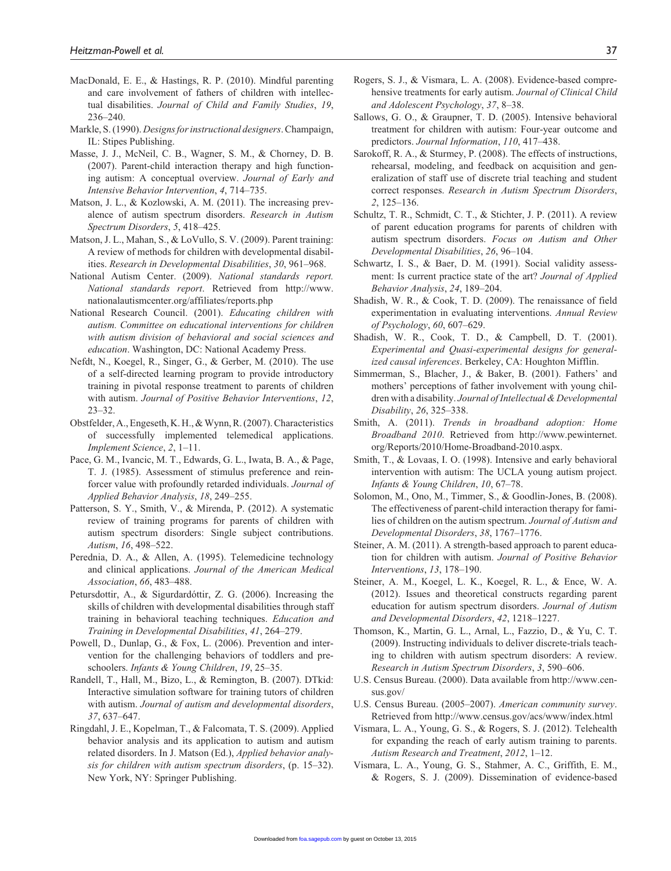- MacDonald, E. E., & Hastings, R. P. (2010). Mindful parenting and care involvement of fathers of children with intellectual disabilities. *Journal of Child and Family Studies*, *19*, 236–240.
- Markle, S. (1990). *Designs for instructional designers*. Champaign, IL: Stipes Publishing.
- Masse, J. J., McNeil, C. B., Wagner, S. M., & Chorney, D. B. (2007). Parent-child interaction therapy and high functioning autism: A conceptual overview. *Journal of Early and Intensive Behavior Intervention*, *4*, 714–735.
- Matson, J. L., & Kozlowski, A. M. (2011). The increasing prevalence of autism spectrum disorders. *Research in Autism Spectrum Disorders*, *5*, 418–425.
- Matson, J. L., Mahan, S., & LoVullo, S. V. (2009). Parent training: A review of methods for children with developmental disabilities. *Research in Developmental Disabilities*, *30*, 961–968.
- National Autism Center. (2009). *National standards report. National standards report*. Retrieved from http://www. [nationalautismcenter.org/affiliates/reports.php](http://www.nationalautismcenter.org/affiliates/reports.php)
- National Research Council. (2001). *Educating children with autism. Committee on educational interventions for children with autism division of behavioral and social sciences and education*. Washington, DC: National Academy Press.
- Nefdt, N., Koegel, R., Singer, G., & Gerber, M. (2010). The use of a self-directed learning program to provide introductory training in pivotal response treatment to parents of children with autism. *Journal of Positive Behavior Interventions*, *12*, 23–32.
- Obstfelder, A., Engeseth, K. H., & Wynn, R. (2007). Characteristics of successfully implemented telemedical applications. *Implement Science*, *2*, 1–11.
- Pace, G. M., Ivancic, M. T., Edwards, G. L., Iwata, B. A., & Page, T. J. (1985). Assessment of stimulus preference and reinforcer value with profoundly retarded individuals. *Journal of Applied Behavior Analysis*, *18*, 249–255.
- Patterson, S. Y., Smith, V., & Mirenda, P. (2012). A systematic review of training programs for parents of children with autism spectrum disorders: Single subject contributions. *Autism*, *16*, 498–522.
- Perednia, D. A., & Allen, A. (1995). Telemedicine technology and clinical applications. *Journal of the American Medical Association*, *66*, 483–488.
- Petursdottir, A., & Sigurdardóttir, Z. G. (2006). Increasing the skills of children with developmental disabilities through staff training in behavioral teaching techniques. *Education and Training in Developmental Disabilities*, *41*, 264–279.
- Powell, D., Dunlap, G., & Fox, L. (2006). Prevention and intervention for the challenging behaviors of toddlers and preschoolers. *Infants & Young Children*, *19*, 25–35.
- Randell, T., Hall, M., Bizo, L., & Remington, B. (2007). DTkid: Interactive simulation software for training tutors of children with autism. *Journal of autism and developmental disorders*, *37*, 637–647.
- Ringdahl, J. E., Kopelman, T., & Falcomata, T. S. (2009). Applied behavior analysis and its application to autism and autism related disorders. In J. Matson (Ed.), *Applied behavior analysis for children with autism spectrum disorders*, (p. 15–32). New York, NY: Springer Publishing.
- Rogers, S. J., & Vismara, L. A. (2008). Evidence-based comprehensive treatments for early autism. *Journal of Clinical Child and Adolescent Psychology*, *37*, 8–38.
- Sallows, G. O., & Graupner, T. D. (2005). Intensive behavioral treatment for children with autism: Four-year outcome and predictors. *Journal Information*, *110*, 417–438.
- Sarokoff, R. A., & Sturmey, P. (2008). The effects of instructions, rehearsal, modeling, and feedback on acquisition and generalization of staff use of discrete trial teaching and student correct responses. *Research in Autism Spectrum Disorders*, *2*, 125–136.
- Schultz, T. R., Schmidt, C. T., & Stichter, J. P. (2011). A review of parent education programs for parents of children with autism spectrum disorders. *Focus on Autism and Other Developmental Disabilities*, *26*, 96–104.
- Schwartz, I. S., & Baer, D. M. (1991). Social validity assessment: Is current practice state of the art? *Journal of Applied Behavior Analysis*, *24*, 189–204.
- Shadish, W. R., & Cook, T. D. (2009). The renaissance of field experimentation in evaluating interventions. *Annual Review of Psychology*, *60*, 607–629.
- Shadish, W. R., Cook, T. D., & Campbell, D. T. (2001). *Experimental and Quasi-experimental designs for generalized causal inferences*. Berkeley, CA: Houghton Mifflin.
- Simmerman, S., Blacher, J., & Baker, B. (2001). Fathers' and mothers' perceptions of father involvement with young children with a disability. *Journal of Intellectual & Developmental Disability*, *26*, 325–338.
- Smith, A. (2011). *Trends in broadband adoption: Home Broadband 2010*. Retrieved from http://www.pewinternet. [org/Reports/2010/Home-Broadband-2010.aspx.](http://www.pewinternet.org/Reports/2010/Home-Broadband-2010.aspx)
- Smith, T., & Lovaas, I. O. (1998). Intensive and early behavioral intervention with autism: The UCLA young autism project. *Infants & Young Children*, *10*, 67–78.
- Solomon, M., Ono, M., Timmer, S., & Goodlin-Jones, B. (2008). The effectiveness of parent-child interaction therapy for families of children on the autism spectrum. *Journal of Autism and Developmental Disorders*, *38*, 1767–1776.
- Steiner, A. M. (2011). A strength-based approach to parent education for children with autism. *Journal of Positive Behavior Interventions*, *13*, 178–190.
- Steiner, A. M., Koegel, L. K., Koegel, R. L., & Ence, W. A. (2012). Issues and theoretical constructs regarding parent education for autism spectrum disorders. *Journal of Autism and Developmental Disorders*, *42*, 1218–1227.
- Thomson, K., Martin, G. L., Arnal, L., Fazzio, D., & Yu, C. T. (2009). Instructing individuals to deliver discrete-trials teaching to children with autism spectrum disorders: A review. *Research in Autism Spectrum Disorders*, *3*, 590–606.
- U.S. Census Bureau. (2000). Data available from http://www.census.gov/
- U.S. Census Bureau. (2005–2007). *American community survey*. Retrieved from http://www.census.gov/acs/www/index.html
- Vismara, L. A., Young, G. S., & Rogers, S. J. (2012). Telehealth for expanding the reach of early autism training to parents. *Autism Research and Treatment*, *2012*, 1–12.
- Vismara, L. A., Young, G. S., Stahmer, A. C., Griffith, E. M., & Rogers, S. J. (2009). Dissemination of evidence-based